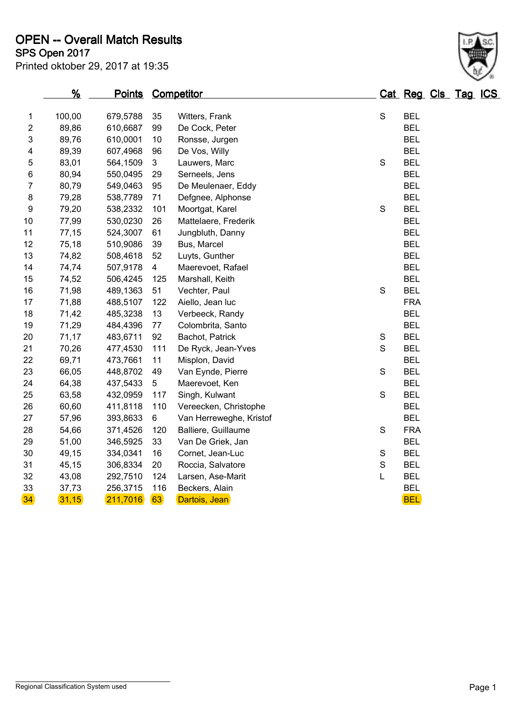|              | $\sim$ Upen Zu M | inted oktober 29, 2017 at 19:35 |     |                      |   |            |  |                     |  |  |
|--------------|------------------|---------------------------------|-----|----------------------|---|------------|--|---------------------|--|--|
|              | %                | <b>Points</b>                   |     | Competitor           |   |            |  | Cat Reg Cls Tag ICS |  |  |
| $\mathbf{1}$ | 100,00           | 679,5788                        | 35  | Witters, Frank       | S | <b>BEL</b> |  |                     |  |  |
| 2            | 89,86            | 610,6687                        | 99  | De Cock, Peter       |   | <b>BEL</b> |  |                     |  |  |
| 3            | 89,76            | 610,0001                        | 10  | Ronsse, Jurgen       |   | <b>BEL</b> |  |                     |  |  |
| 4            | 89,39            | 607,4968                        | 96  | De Vos, Willy        |   | <b>BEL</b> |  |                     |  |  |
| 5            | 83,01            | 564,1509 3                      |     | Lauwers, Marc        | S | <b>BEL</b> |  |                     |  |  |
| 6            | 80,94            | 550,0495                        | 29  | Serneels, Jens       |   | <b>BEL</b> |  |                     |  |  |
| 7            | 80,79            | 549,0463                        | 95  | De Meulenaer, Eddy   |   | <b>BEL</b> |  |                     |  |  |
| 8            | 79,28            | 538,7789                        | 71  | Defgnee, Alphonse    |   | <b>BEL</b> |  |                     |  |  |
| 9            | 79,20            | 538,2332                        | 101 | Moortgat, Karel      | S | <b>BEL</b> |  |                     |  |  |
| 0            | 77,99            | 530,0230                        | 26  | Mattelaere, Frederik |   | <b>BEL</b> |  |                     |  |  |
| $\vert$ 1    | 77,15            | 524,3007                        | -61 | Jungbluth, Danny     |   | <b>BEL</b> |  |                     |  |  |
|              |                  |                                 |     |                      |   |            |  |                     |  |  |

| 7               | 80,79 | 549,0463 | 95  | De Meulenaer, Eddy      |               | <b>BEL</b> |
|-----------------|-------|----------|-----|-------------------------|---------------|------------|
| 8               | 79,28 | 538,7789 | 71  | Defgnee, Alphonse       |               | <b>BEL</b> |
| 9               | 79,20 | 538,2332 | 101 | Moortgat, Karel         | S             | <b>BEL</b> |
| 10              | 77,99 | 530,0230 | 26  | Mattelaere, Frederik    |               | <b>BEL</b> |
| 11              | 77,15 | 524,3007 | 61  | Jungbluth, Danny        |               | <b>BEL</b> |
| 12              | 75,18 | 510,9086 | 39  | Bus, Marcel             |               | <b>BEL</b> |
| 13              | 74,82 | 508,4618 | 52  | Luyts, Gunther          |               | <b>BEL</b> |
| 14              | 74,74 | 507,9178 | 4   | Maerevoet, Rafael       |               | <b>BEL</b> |
| 15              | 74,52 | 506,4245 | 125 | Marshall, Keith         |               | <b>BEL</b> |
| 16              | 71,98 | 489,1363 | 51  | Vechter, Paul           | S             | <b>BEL</b> |
| 17              | 71,88 | 488,5107 | 122 | Aiello, Jean luc        |               | <b>FRA</b> |
| 18              | 71,42 | 485,3238 | 13  | Verbeeck, Randy         |               | <b>BEL</b> |
| 19              | 71,29 | 484,4396 | 77  | Colombrita, Santo       |               | <b>BEL</b> |
| 20              | 71,17 | 483,6711 | 92  | Bachot, Patrick         | S             | <b>BEL</b> |
| 21              | 70,26 | 477,4530 | 111 | De Ryck, Jean-Yves      | S             | <b>BEL</b> |
| 22              | 69,71 | 473,7661 | 11  | Misplon, David          |               | <b>BEL</b> |
| 23              | 66,05 | 448,8702 | 49  | Van Eynde, Pierre       | S             | <b>BEL</b> |
| 24              | 64,38 | 437,5433 | 5   | Maerevoet, Ken          |               | <b>BEL</b> |
| 25              | 63,58 | 432,0959 | 117 | Singh, Kulwant          | S             | <b>BEL</b> |
| 26              | 60,60 | 411,8118 | 110 | Vereecken, Christophe   |               | <b>BEL</b> |
| 27              | 57,96 | 393,8633 | 6   | Van Herreweghe, Kristof |               | <b>BEL</b> |
| 28              | 54,66 | 371,4526 | 120 | Balliere, Guillaume     | S             | <b>FRA</b> |
| 29              | 51,00 | 346,5925 | 33  | Van De Griek, Jan       |               | <b>BEL</b> |
| 30              | 49,15 | 334,0341 | 16  | Cornet, Jean-Luc        | S             | <b>BEL</b> |
| 31              | 45,15 | 306,8334 | 20  | Roccia, Salvatore       | ${\mathsf S}$ | <b>BEL</b> |
| 32              | 43,08 | 292,7510 | 124 | Larsen, Ase-Marit       | L             | <b>BEL</b> |
| 33              | 37,73 | 256,3715 | 116 | Beckers, Alain          |               | <b>BEL</b> |
| 34 <sup>°</sup> | 31,15 | 211,7016 | 63  | Dartois, Jean           |               | <b>BEL</b> |
|                 |       |          |     |                         |               |            |

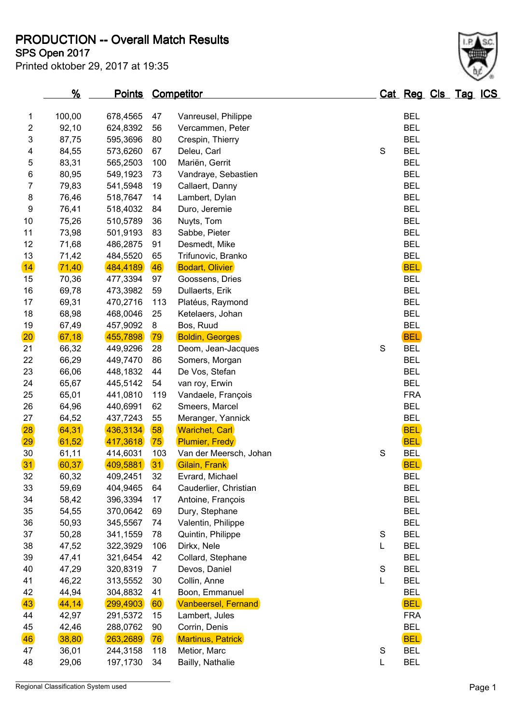**PRODUCTION -- Overall Match Results**

Printed oktober 29, 2017 at 19:35

## **SPS Open 2017**

|                 | $\frac{9}{6}$ | <b>Points</b> |                | <b>Competitor</b>          |             | Cat Reg Cls Tag ICS |  |  |
|-----------------|---------------|---------------|----------------|----------------------------|-------------|---------------------|--|--|
| 1               | 100,00        | 678,4565      | 47             | Vanreusel, Philippe        |             | <b>BEL</b>          |  |  |
| $\overline{c}$  | 92,10         | 624,8392      | 56             | Vercammen, Peter           |             | <b>BEL</b>          |  |  |
| 3               | 87,75         | 595,3696      | 80             | Crespin, Thierry           |             | <b>BEL</b>          |  |  |
| 4               | 84,55         | 573,6260      | 67             | Deleu, Carl                | S           | <b>BEL</b>          |  |  |
| 5               | 83,31         | 565,2503      | 100            | Mariën, Gerrit             |             | <b>BEL</b>          |  |  |
| 6               | 80,95         | 549,1923      | 73             | Vandraye, Sebastien        |             | <b>BEL</b>          |  |  |
| 7               | 79,83         | 541,5948      | 19             | Callaert, Danny            |             | <b>BEL</b>          |  |  |
| 8               | 76,46         | 518,7647      | 14             | Lambert, Dylan             |             | <b>BEL</b>          |  |  |
| 9               | 76,41         | 518,4032      | 84             | Duro, Jeremie              |             | <b>BEL</b>          |  |  |
| 10              | 75,26         | 510,5789      | 36             | Nuyts, Tom                 |             | <b>BEL</b>          |  |  |
| 11              | 73,98         | 501,9193      | 83             | Sabbe, Pieter              |             | <b>BEL</b>          |  |  |
| 12              | 71,68         | 486,2875      | 91             | Desmedt, Mike              |             | <b>BEL</b>          |  |  |
| 13              | 71,42         | 484,5520      | 65             | Trifunovic, Branko         |             | <b>BEL</b>          |  |  |
| $\overline{14}$ | 71,40         | 484,4189      | 46             | <b>Bodart, Olivier</b>     |             | <b>BEL</b>          |  |  |
| 15              | 70,36         | 477,3394      | 97             | Goossens, Dries            |             | <b>BEL</b>          |  |  |
| 16              | 69,78         | 473,3982      | 59             | Dullaerts, Erik            |             | <b>BEL</b>          |  |  |
| 17              | 69,31         | 470,2716      | 113            | Platéus, Raymond           |             | <b>BEL</b>          |  |  |
| 18              | 68,98         | 468,0046      | 25             | Ketelaers, Johan           |             | <b>BEL</b>          |  |  |
| 19              | 67,49         | 457,9092      | 8              | Bos, Ruud                  |             | <b>BEL</b>          |  |  |
| 20 <sub>2</sub> | 67,18         | 455,7898      | 79             | <b>Boldin, Georges</b>     |             | <b>BEL</b>          |  |  |
| 21              | 66,32         | 449,9296      | 28             | Deom, Jean-Jacques         | S           | <b>BEL</b>          |  |  |
| 22              | 66,29         | 449,7470      | 86             | Somers, Morgan             |             | <b>BEL</b>          |  |  |
| 23              | 66,06         | 448,1832      | 44             | De Vos, Stefan             |             | <b>BEL</b>          |  |  |
| 24              | 65,67         | 445,5142      | 54             | van roy, Erwin             |             | <b>BEL</b>          |  |  |
| 25              | 65,01         | 441,0810      | 119            | Vandaele, François         |             | <b>FRA</b>          |  |  |
| 26              | 64,96         | 440,6991      | 62             | Smeers, Marcel             |             | <b>BEL</b>          |  |  |
| 27              | 64,52         | 437,7243      | 55             | Meranger, Yannick          |             | <b>BEL</b>          |  |  |
| 28              | 64,31         | 436,3134      | 58             | <b>Warichet, Carl</b>      |             | <b>BEL</b>          |  |  |
| 29              | 61,52         | 417,3618      | 75             | <b>Plumier, Fredy</b>      |             | <b>BEL</b>          |  |  |
| 30              | 61,11         | 414,6031      | 103            | Van der Meersch, Johan     | S           | <b>BEL</b>          |  |  |
| 31              | 60,37         | 409,5881      | 31             | Gilain, Frank              |             | <b>BEL</b>          |  |  |
| 32              | 60,32         | 409,2451      | 32             | Evrard, Michael            |             | <b>BEL</b>          |  |  |
| 33              | 59,69         | 404,9465      | 64             | Cauderlier, Christian      |             | <b>BEL</b>          |  |  |
| 34              | 58,42         | 396,3394      | 17             | Antoine, François          |             | <b>BEL</b>          |  |  |
| 35              | 54,55         | 370,0642      | 69             | Dury, Stephane             |             | <b>BEL</b>          |  |  |
| 36              | 50,93         | 345,5567      | 74             | Valentin, Philippe         |             | <b>BEL</b>          |  |  |
| 37              | 50,28         | 341,1559      | 78             | Quintin, Philippe          | S           | <b>BEL</b>          |  |  |
| 38              | 47,52         | 322,3929      | 106            | Dirkx, Nele                | L           | <b>BEL</b>          |  |  |
| 39              | 47,41         | 321,6454      | 42             | Collard, Stephane          |             | <b>BEL</b>          |  |  |
| 40              | 47,29         | 320,8319      | $\overline{7}$ | Devos, Daniel              | S           | <b>BEL</b>          |  |  |
| 41              | 46,22         | 313,5552      | 30             | Collin, Anne               | L           | <b>BEL</b>          |  |  |
| 42              | 44,94         | 304,8832      | 41             | Boon, Emmanuel             |             | <b>BEL</b>          |  |  |
| 43              | 44,14         | 299,4903      | 60             | <b>Vanbeersel, Fernand</b> |             | <b>BEL</b>          |  |  |
| 44              | 42,97         | 291,5372      | 15             | Lambert, Jules             |             | <b>FRA</b>          |  |  |
| 45              | 42,46         | 288,0762      | 90             | Corrin, Denis              |             | <b>BEL</b>          |  |  |
| 46              | 38,80         | 263,2689      | 76             | Martinus, Patrick          |             | <b>BEL</b>          |  |  |
| 47              | 36,01         | 244,3158      | 118            | Metior, Marc               | $\mathbf S$ | <b>BEL</b>          |  |  |
| 48              | 29,06         | 197,1730      | 34             | Bailly, Nathalie           | L           | <b>BEL</b>          |  |  |
|                 |               |               |                |                            |             |                     |  |  |

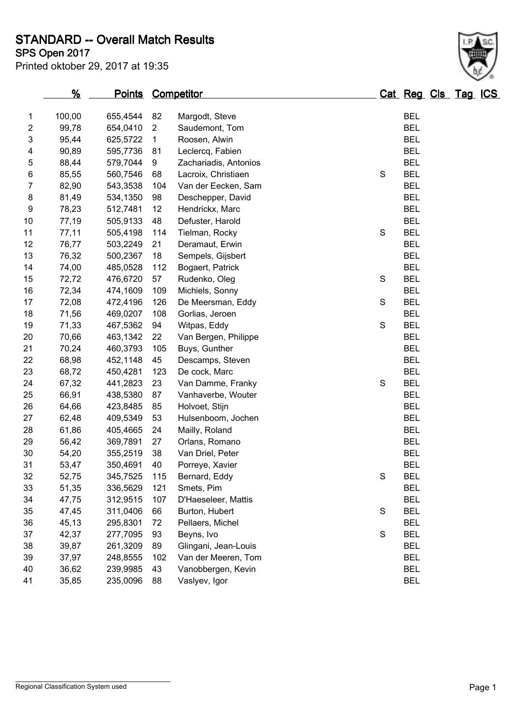**STANDARD -- Overall Match Results**

**SPS Open 2017**

| Printed oktober 29, 2017 at 19:35 |  |  |  |  |
|-----------------------------------|--|--|--|--|
|-----------------------------------|--|--|--|--|

|    | $\frac{9}{6}$ | <u>Points</u> |                | <b>Competitor</b>     |               | Cat Reg Cls Tag ICS |  |  |
|----|---------------|---------------|----------------|-----------------------|---------------|---------------------|--|--|
| 1  | 100,00        | 655,4544      | 82             | Margodt, Steve        |               | <b>BEL</b>          |  |  |
| 2  | 99,78         | 654,0410      | $\overline{2}$ | Saudemont, Tom        |               | <b>BEL</b>          |  |  |
| 3  | 95,44         | 625,5722      | $\mathbf{1}$   | Roosen, Alwin         |               | <b>BEL</b>          |  |  |
| 4  | 90,89         | 595,7736      | 81             | Leclercq, Fabien      |               | <b>BEL</b>          |  |  |
| 5  | 88,44         | 579,7044      | 9              | Zachariadis, Antonios |               | <b>BEL</b>          |  |  |
| 6  | 85,55         | 560,7546      | 68             | Lacroix, Christiaen   | S             | <b>BEL</b>          |  |  |
| 7  | 82,90         | 543,3538      | 104            | Van der Eecken, Sam   |               | <b>BEL</b>          |  |  |
| 8  | 81,49         | 534,1350      | 98             | Deschepper, David     |               | <b>BEL</b>          |  |  |
| 9  | 78,23         | 512,7481      | 12             | Hendrickx, Marc       |               | <b>BEL</b>          |  |  |
| 10 | 77,19         | 505,9133      | 48             | Defuster, Harold      |               | <b>BEL</b>          |  |  |
| 11 | 77,11         | 505,4198      | 114            | Tielman, Rocky        | S             | <b>BEL</b>          |  |  |
| 12 | 76,77         | 503,2249      | 21             | Deramaut, Erwin       |               | <b>BEL</b>          |  |  |
| 13 | 76,32         | 500,2367      | 18             | Sempels, Gijsbert     |               | <b>BEL</b>          |  |  |
| 14 | 74,00         | 485,0528      | 112            | Bogaert, Patrick      |               | <b>BEL</b>          |  |  |
| 15 | 72,72         | 476,6720      | 57             | Rudenko, Oleg         | S             | <b>BEL</b>          |  |  |
| 16 | 72,34         | 474,1609      | 109            | Michiels, Sonny       |               | <b>BEL</b>          |  |  |
| 17 | 72,08         | 472,4196      | 126            | De Meersman, Eddy     | S             | <b>BEL</b>          |  |  |
| 18 | 71,56         | 469,0207      | 108            | Gorlias, Jeroen       |               | <b>BEL</b>          |  |  |
| 19 | 71,33         | 467,5362      | 94             | Witpas, Eddy          | ${\mathsf S}$ | <b>BEL</b>          |  |  |
| 20 | 70,66         | 463,1342      | 22             | Van Bergen, Philippe  |               | <b>BEL</b>          |  |  |
| 21 | 70,24         | 460,3793      | 105            | Buys, Gunther         |               | <b>BEL</b>          |  |  |
| 22 | 68,98         | 452,1148      | 45             | Descamps, Steven      |               | <b>BEL</b>          |  |  |
| 23 | 68,72         | 450,4281      | 123            | De cock, Marc         |               | <b>BEL</b>          |  |  |
| 24 | 67,32         | 441,2823      | 23             | Van Damme, Franky     | S             | <b>BEL</b>          |  |  |
| 25 | 66,91         | 438,5380      | 87             | Vanhaverbe, Wouter    |               | <b>BEL</b>          |  |  |
| 26 | 64,66         | 423,8485      | 85             | Holvoet, Stijn        |               | <b>BEL</b>          |  |  |
| 27 | 62,48         | 409,5349      | 53             | Hulsenboom, Jochen    |               | <b>BEL</b>          |  |  |
| 28 | 61,86         | 405,4665      | 24             | Mailly, Roland        |               | <b>BEL</b>          |  |  |
| 29 | 56,42         | 369,7891      | 27             | Orlans, Romano        |               | <b>BEL</b>          |  |  |
| 30 | 54,20         | 355,2519      | 38             | Van Driel, Peter      |               | <b>BEL</b>          |  |  |
| 31 | 53,47         | 350,4691      | 40             | Porreye, Xavier       |               | <b>BEL</b>          |  |  |
| 32 | 52,75         | 345,7525      | 115            | Bernard, Eddy         | S             | <b>BEL</b>          |  |  |
| 33 | 51,35         | 336,5629      | 121            | Smets, Pim            |               | <b>BEL</b>          |  |  |
| 34 | 47,75         | 312,9515      | 107            | D'Haeseleer, Mattis   |               | <b>BEL</b>          |  |  |
| 35 | 47,45         | 311,0406      | 66             | Burton, Hubert        | S             | <b>BEL</b>          |  |  |
| 36 | 45,13         | 295,8301      | 72             | Pellaers, Michel      |               | <b>BEL</b>          |  |  |
| 37 | 42,37         | 277,7095      | 93             | Beyns, Ivo            | S             | <b>BEL</b>          |  |  |
| 38 | 39,87         | 261,3209      | 89             | Glingani, Jean-Louis  |               | <b>BEL</b>          |  |  |
| 39 | 37,97         | 248,8555      | 102            | Van der Meeren, Tom   |               | <b>BEL</b>          |  |  |
| 40 | 36,62         | 239,9985      | 43             | Vanobbergen, Kevin    |               | <b>BEL</b>          |  |  |
| 41 | 35,85         | 235,0096      | 88             | Vaslyev, Igor         |               | <b>BEL</b>          |  |  |
|    |               |               |                |                       |               |                     |  |  |